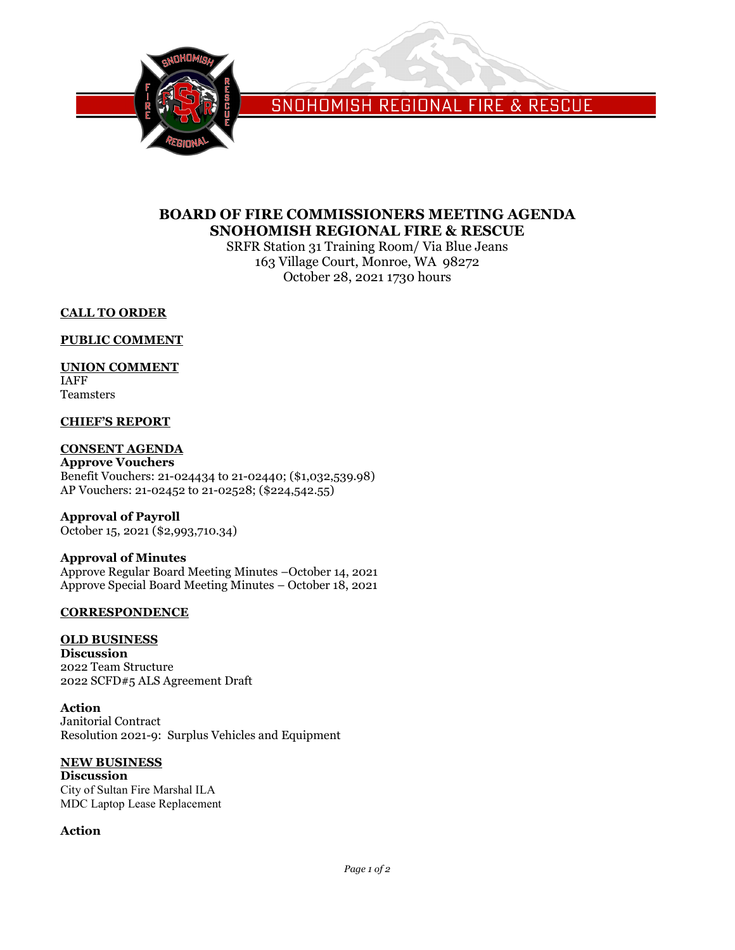

SNOHOMISH REGIONAL FIRE & RESCUE

## **BOARD OF FIRE COMMISSIONERS MEETING AGENDA SNOHOMISH REGIONAL FIRE & RESCUE**

SRFR Station 31 Training Room/ Via Blue Jeans 163 Village Court, Monroe, WA 98272 October 28, 2021 1730 hours

## **CALL TO ORDER**

## **PUBLIC COMMENT**

## **UNION COMMENT**

IAFF Teamsters

#### **CHIEF'S REPORT**

#### **CONSENT AGENDA**

**Approve Vouchers** Benefit Vouchers: 21-024434 to 21-02440; (\$1,032,539.98) AP Vouchers: 21-02452 to 21-02528; (\$224,542.55)

**Approval of Payroll** October 15, 2021 (\$2,993,710.34)

## **Approval of Minutes**

Approve Regular Board Meeting Minutes –October 14, 2021 Approve Special Board Meeting Minutes – October 18, 2021

## **CORRESPONDENCE**

## **OLD BUSINESS**

**Discussion** 2022 Team Structure 2022 SCFD#5 ALS Agreement Draft

**Action** Janitorial Contract Resolution 2021-9: Surplus Vehicles and Equipment

## **NEW BUSINESS**

**Discussion** City of Sultan Fire Marshal ILA MDC Laptop Lease Replacement

## **Action**